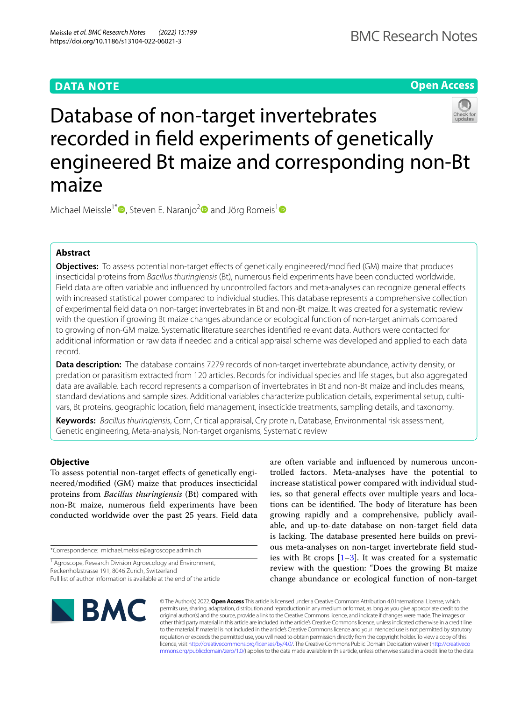# **DATA NOTE**

**Open Access**



Michael Meissle<sup>1[\\*](http://orcid.org/0000-0002-5391-7715)</sup><sup>1</sup>, Steven E. Naranjo<sup>2</sup> and Jörg Romeis<sup>1</sup>

## **Abstract**

**Objectives:** To assess potential non-target effects of genetically engineered/modified (GM) maize that produces insecticidal proteins from *Bacillus thuringiensis* (Bt), numerous feld experiments have been conducted worldwide. Field data are often variable and infuenced by uncontrolled factors and meta-analyses can recognize general efects with increased statistical power compared to individual studies. This database represents a comprehensive collection of experimental feld data on non-target invertebrates in Bt and non-Bt maize. It was created for a systematic review with the question if growing Bt maize changes abundance or ecological function of non-target animals compared to growing of non-GM maize. Systematic literature searches identifed relevant data. Authors were contacted for additional information or raw data if needed and a critical appraisal scheme was developed and applied to each data record.

**Data description:** The database contains 7279 records of non-target invertebrate abundance, activity density, or predation or parasitism extracted from 120 articles. Records for individual species and life stages, but also aggregated data are available. Each record represents a comparison of invertebrates in Bt and non-Bt maize and includes means, standard deviations and sample sizes. Additional variables characterize publication details, experimental setup, cultivars, Bt proteins, geographic location, feld management, insecticide treatments, sampling details, and taxonomy.

**Keywords:** *Bacillus thuringiensis*, Corn, Critical appraisal, Cry protein, Database, Environmental risk assessment, Genetic engineering, Meta-analysis, Non-target organisms, Systematic review

## **Objective**

To assess potential non-target effects of genetically engineered/modifed (GM) maize that produces insecticidal proteins from *Bacillus thuringiensis* (Bt) compared with non-Bt maize, numerous feld experiments have been conducted worldwide over the past 25 years. Field data

\*Correspondence: michael.meissle@agroscope.admin.ch

are often variable and infuenced by numerous uncontrolled factors. Meta-analyses have the potential to increase statistical power compared with individual studies, so that general effects over multiple years and locations can be identified. The body of literature has been growing rapidly and a comprehensive, publicly available, and up-to-date database on non-target feld data is lacking. The database presented here builds on previous meta-analyses on non-target invertebrate feld studies with Bt crops  $[1-3]$  $[1-3]$ . It was created for a systematic review with the question: "Does the growing Bt maize change abundance or ecological function of non-target



© The Author(s) 2022. **Open Access** This article is licensed under a Creative Commons Attribution 4.0 International License, which permits use, sharing, adaptation, distribution and reproduction in any medium or format, as long as you give appropriate credit to the original author(s) and the source, provide a link to the Creative Commons licence, and indicate if changes were made. The images or other third party material in this article are included in the article's Creative Commons licence, unless indicated otherwise in a credit line to the material. If material is not included in the article's Creative Commons licence and your intended use is not permitted by statutory regulation or exceeds the permitted use, you will need to obtain permission directly from the copyright holder. To view a copy of this licence, visit [http://creativecommons.org/licenses/by/4.0/.](http://creativecommons.org/licenses/by/4.0/) The Creative Commons Public Domain Dedication waiver ([http://creativeco](http://creativecommons.org/publicdomain/zero/1.0/) [mmons.org/publicdomain/zero/1.0/](http://creativecommons.org/publicdomain/zero/1.0/)) applies to the data made available in this article, unless otherwise stated in a credit line to the data.

<sup>&</sup>lt;sup>1</sup> Agroscope, Research Division Agroecology and Environment, Reckenholzstrasse 191, 8046 Zurich, Switzerland Full list of author information is available at the end of the article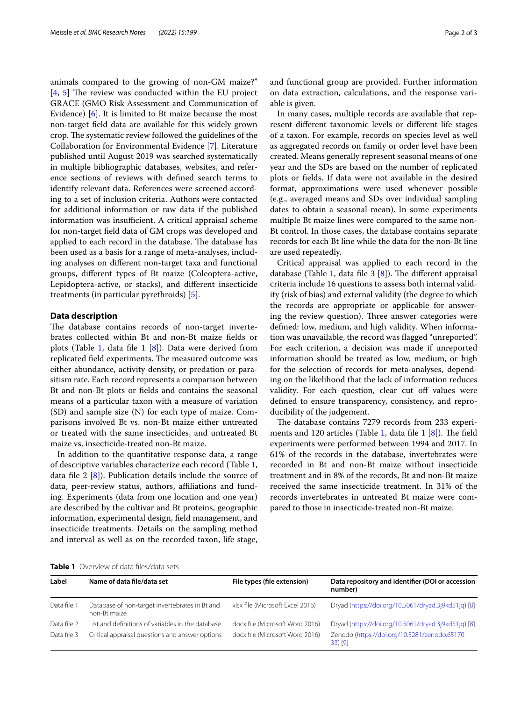animals compared to the growing of non-GM maize?"  $[4, 5]$  $[4, 5]$  $[4, 5]$  $[4, 5]$  The review was conducted within the EU project GRACE (GMO Risk Assessment and Communication of Evidence) [[6\]](#page-2-4). It is limited to Bt maize because the most non-target feld data are available for this widely grown crop. The systematic review followed the guidelines of the Collaboration for Environmental Evidence [[7\]](#page-2-5). Literature published until August 2019 was searched systematically in multiple bibliographic databases, websites, and reference sections of reviews with defned search terms to identify relevant data. References were screened according to a set of inclusion criteria. Authors were contacted for additional information or raw data if the published information was insufficient. A critical appraisal scheme for non-target feld data of GM crops was developed and applied to each record in the database. The database has been used as a basis for a range of meta-analyses, including analyses on diferent non-target taxa and functional groups, diferent types of Bt maize (Coleoptera-active, Lepidoptera-active, or stacks), and diferent insecticide treatments (in particular pyrethroids) [\[5](#page-2-3)].

## **Data description**

The database contains records of non-target invertebrates collected within Bt and non-Bt maize felds or plots (Table [1](#page-1-0), data file 1  $[8]$  $[8]$ ). Data were derived from replicated field experiments. The measured outcome was either abundance, activity density, or predation or parasitism rate. Each record represents a comparison between Bt and non-Bt plots or felds and contains the seasonal means of a particular taxon with a measure of variation (SD) and sample size (N) for each type of maize. Comparisons involved Bt vs. non-Bt maize either untreated or treated with the same insecticides, and untreated Bt maize vs. insecticide-treated non-Bt maize.

In addition to the quantitative response data, a range of descriptive variables characterize each record (Table [1](#page-1-0), data file 2  $[8]$ ). Publication details include the source of data, peer-review status, authors, affiliations and funding. Experiments (data from one location and one year) are described by the cultivar and Bt proteins, geographic information, experimental design, feld management, and insecticide treatments. Details on the sampling method and interval as well as on the recorded taxon, life stage, and functional group are provided. Further information on data extraction, calculations, and the response variable is given.

In many cases, multiple records are available that represent diferent taxonomic levels or diferent life stages of a taxon. For example, records on species level as well as aggregated records on family or order level have been created. Means generally represent seasonal means of one year and the SDs are based on the number of replicated plots or felds. If data were not available in the desired format, approximations were used whenever possible (e.g., averaged means and SDs over individual sampling dates to obtain a seasonal mean). In some experiments multiple Bt maize lines were compared to the same non-Bt control. In those cases, the database contains separate records for each Bt line while the data for the non-Bt line are used repeatedly.

Critical appraisal was applied to each record in the database (Table [1,](#page-1-0) data file 3  $[8]$  $[8]$ ). The different appraisal criteria include 16 questions to assess both internal validity (risk of bias) and external validity (the degree to which the records are appropriate or applicable for answering the review question). Three answer categories were defned: low, medium, and high validity. When information was unavailable, the record was fagged "unreported". For each criterion, a decision was made if unreported information should be treated as low, medium, or high for the selection of records for meta-analyses, depending on the likelihood that the lack of information reduces validity. For each question, clear cut off values were defned to ensure transparency, consistency, and reproducibility of the judgement.

The database contains 7279 records from 233 experi-ments and [1](#page-1-0)20 articles (Table 1, data file 1  $[8]$  $[8]$ ). The field experiments were performed between 1994 and 2017. In 61% of the records in the database, invertebrates were recorded in Bt and non-Bt maize without insecticide treatment and in 8% of the records, Bt and non-Bt maize received the same insecticide treatment. In 31% of the records invertebrates in untreated Bt maize were compared to those in insecticide-treated non-Bt maize.

<span id="page-1-0"></span>

| <b>Table 1</b> Overview of data files/data sets |  |
|-------------------------------------------------|--|
|-------------------------------------------------|--|

| Label       | Name of data file/data set                        | File types (file extension)     | Data repository and identifier (DOI or accession<br>number) |
|-------------|---------------------------------------------------|---------------------------------|-------------------------------------------------------------|
|             |                                                   |                                 |                                                             |
| Data file 2 | List and definitions of variables in the database | docx file (Microsoft Word 2016) | Dryad (https://doi.org/10.5061/dryad.3j9kd51jq) [8]         |
| Data file 3 | Critical appraisal questions and answer options   | docx file (Microsoft Word 2016) | Zenodo (https://doi.org/10.5281/zenodo.65170<br>$33)$ [9]   |